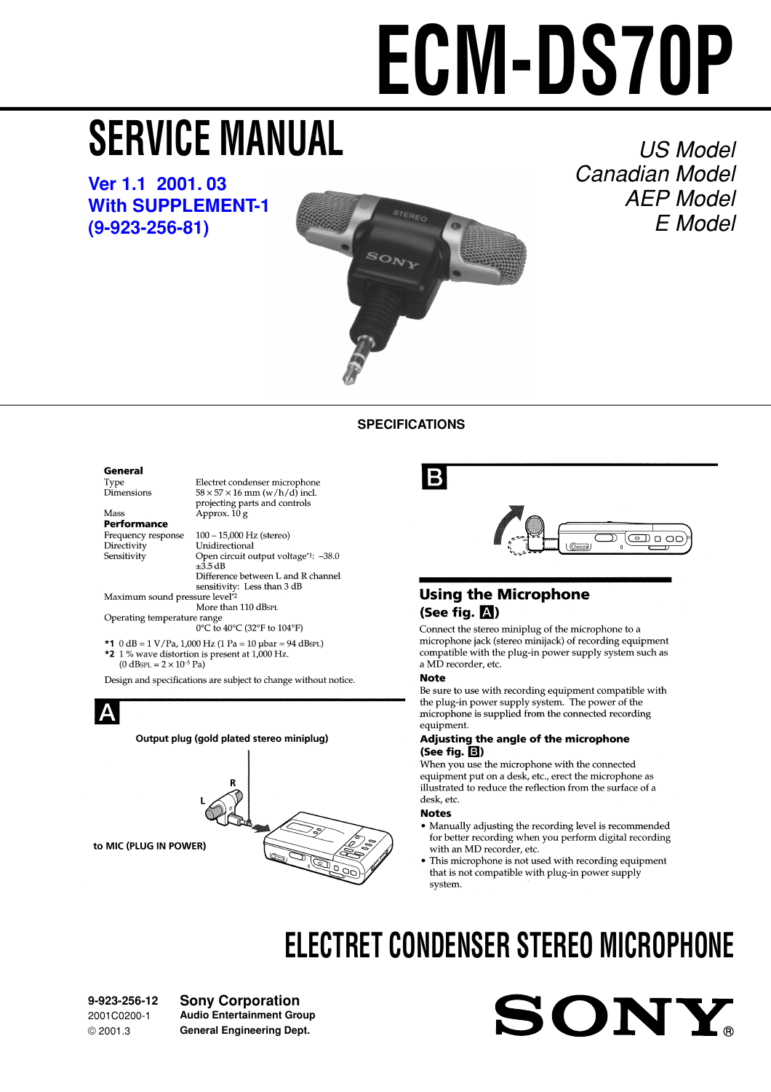# **ECM-DS70P**

# <span id="page-0-0"></span>**SERVICE MANUAL**

**[Ver 1.1 2001. 03](#page-5-0) [With SUPPLEMENT-1](#page-4-0) (9-923-256-81)**



#### US Model Canadian Model AEP Model E Model

#### **SPECIFICATIONS**

#### General

Type<br>Dimensions

Mass Performance Frequency response Directivity Sensitivity

Electret condenser microphone<br>58  $\times$  57  $\times$  16 mm (w/h/d) incl.  $50 \times 57 \times 10$  him (w/h/d) he<br>projecting parts and controls<br>Approx. 10 g

100 - 15,000 Hz (stereo) Unidirectional Open circuit output voltage\*1: -38.0  $+35AB$ Difference between L and R channel sensitivity: Less than 3 dB

Maximum sound pressure level<sup>\*2</sup> More than 110 dBsPL

Operating temperature range 0°C to 40°C (32°F to 104°F)

\*1 0 dB =  $1 \text{ V/Pa}$ , 1,000 Hz (1 Pa = 10 µbar = 94 dBsPL) \*2 1 % wave distortion is present at 1,000 Hz.<br>(0 dBsPL =  $2 \times 10^{-5}$  Pa)

Design and specifications are subject to change without notice.



### B



#### **Using the Microphone** (See fig.  $\mathbb{A}$ )

Connect the stereo miniplug of the microphone to a microphone jack (stereo minijack) of recording equipment compatible with the plug-in power supply system such as a MD recorder, etc.

#### **Note**

Be sure to use with recording equipment compatible with the plug-in power supply system. The power of the microphone is supplied from the connected recording equipment.

#### Adjusting the angle of the microphone  $(See fig.  $\boxed{3}$ )$

When you use the microphone with the connected equipment put on a desk, etc., erect the microphone as illustrated to reduce the reflection from the surface of a desk etc

#### **Notes**

- Manually adjusting the recording level is recommended for better recording when you perform digital recording with an MD recorder, etc.
- This microphone is not used with recording equipment that is not compatible with plug-in power supply system.

SONY

## **ELECTRET CONDENSER STEREO MICROPHONE**

**9-923-256-12** 2001C0200-1 © 2001.3

**Sony Corporation Audio Entertainment Group General Engineering Dept.**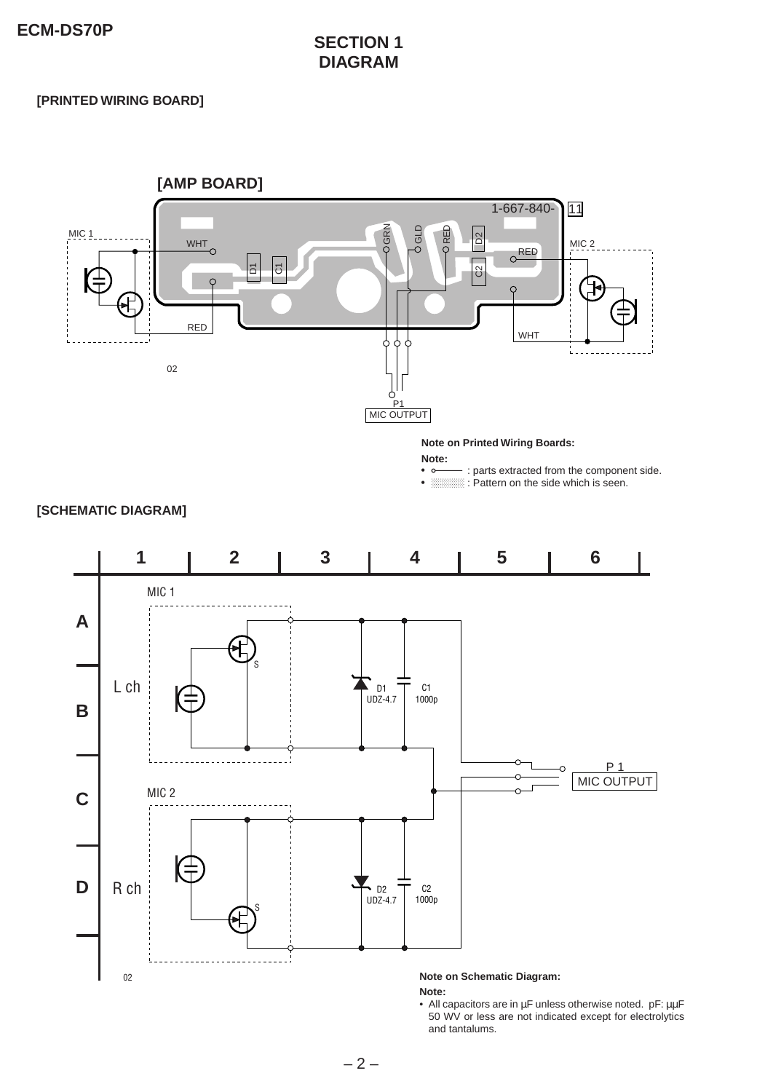#### **SECTION 1 DIAGRAM**

#### **[PRINTED WIRING BOARD]**

02



d

**Note on Schematic Diagram:**

• All capacitors are in µF unless otherwise noted. pF: µµF 50 WV or less are not indicated except for electrolytics

**Note:**

and tantalums.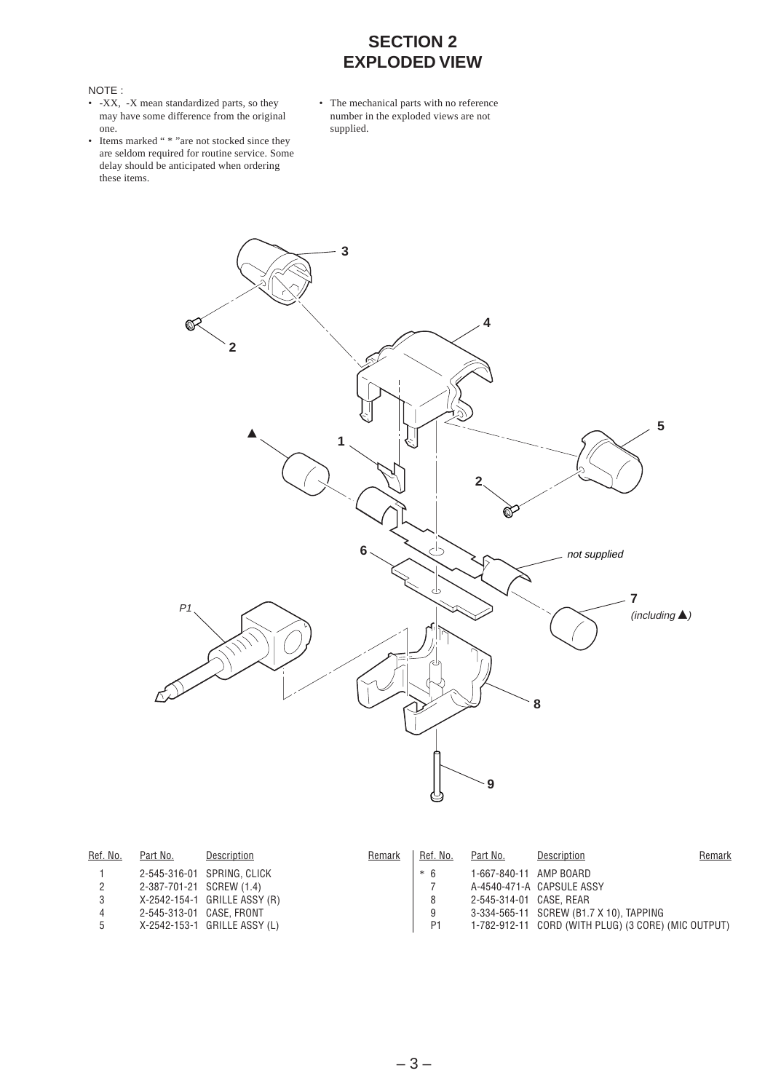#### **SECTION 2 EXPLODED VIEW**

#### NOTE :

- -XX, -X mean standardized parts, so they may have some difference from the original one.
- Items marked " \* "are not stocked since they are seldom required for routine service. Some delay should be anticipated when ordering these items.
- The mechanical parts with no reference number in the exploded views are not supplied.



| Ref. No. | Part No.                 | Description                  | Remark | Ref. No.       | Part No.                | Description                                         | Remark |
|----------|--------------------------|------------------------------|--------|----------------|-------------------------|-----------------------------------------------------|--------|
|          |                          | 2-545-316-01 SPRING, CLICK   |        | $*6$           | 1-667-840-11 AMP BOARD  |                                                     |        |
|          | 2-387-701-21 SCREW (1.4) |                              |        |                |                         | A-4540-471-A CAPSULE ASSY                           |        |
|          |                          | X-2542-154-1 GRILLE ASSY (R) |        | 8              | 2-545-314-01 CASE, REAR |                                                     |        |
|          |                          | 2-545-313-01 CASE, FRONT     |        | 9              |                         | 3-334-565-11 SCREW (B1.7 X 10), TAPPING             |        |
| 5        |                          | X-2542-153-1 GRILLE ASSY (L) |        | P <sub>1</sub> |                         | 1-782-912-11 CORD (WITH PLUG) (3 CORE) (MIC OUTPUT) |        |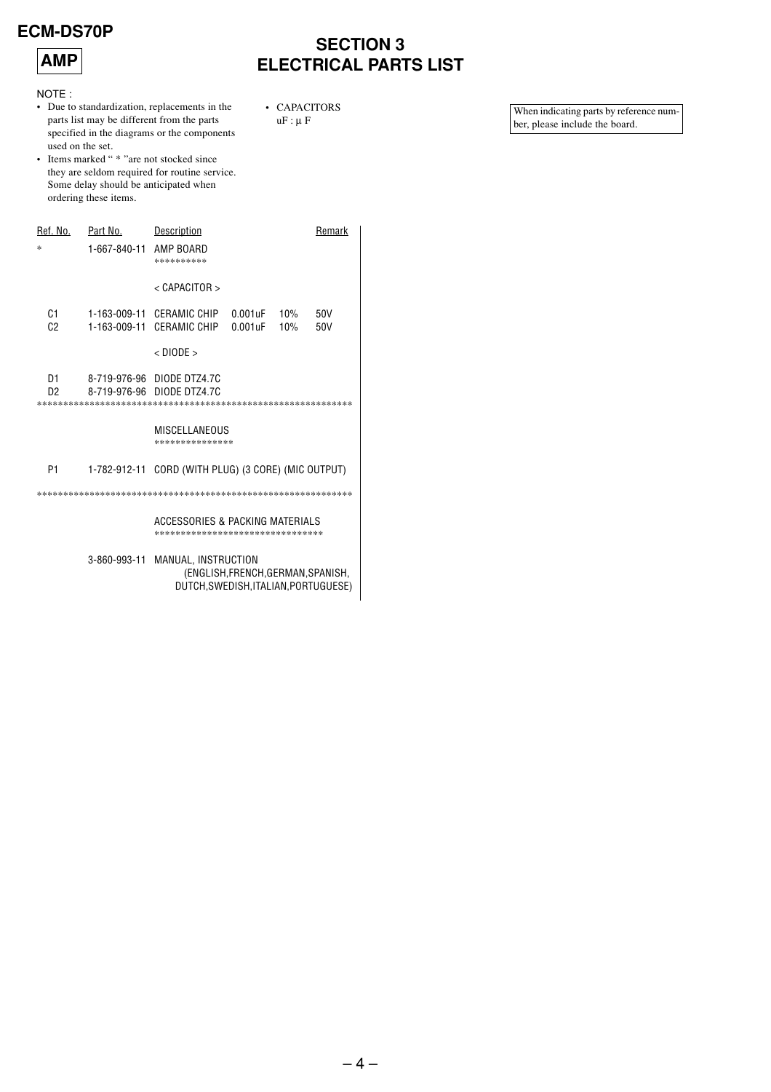#### **ECM-DS70P**



#### **SECTION 3 ELECTRICAL PARTS LIST**

• CAPACITORS

 $uF : \mu F$ 

NOTE:

- Due to standardization, replacements in the parts list may be different from the parts specified in the diagrams or the components used on the set.
- Items marked " \* "are not stocked since they are seldom required for routine service. Some delay should be anticipated when ordering these items.

| Ref. No.             | Part No.               | Description                                                                                      | Remark     |  |
|----------------------|------------------------|--------------------------------------------------------------------------------------------------|------------|--|
| ż                    | 1-667-840-11 AMP BOARD | **********                                                                                       |            |  |
|                      |                        | $<$ CAPACITOR $>$                                                                                |            |  |
| C1<br>C <sub>2</sub> |                        | 1-163-009-11 CERAMIC CHIP<br>$0.001$ uF $10\%$<br>1-163-009-11 CERAMIC CHIP<br>$0.001$ uF<br>10% | 50V<br>50V |  |
|                      |                        | $<$ DIODE $>$                                                                                    |            |  |
| D <sub>1</sub><br>D2 |                        | 8-719-976-96 DIODE DTZ4.7C<br>8-719-976-96 DIODE DTZ4.7C                                         |            |  |
|                      |                        | MISCELLANEOUS<br>***************                                                                 |            |  |
| P1                   |                        | 1-782-912-11 CORD (WITH PLUG) (3 CORE) (MIC OUTPUT)                                              |            |  |
|                      |                        |                                                                                                  |            |  |
|                      |                        | ACCESSORIES & PACKING MATERIALS<br>*********************************                             |            |  |
|                      | 3-860-993-11           | MANUAL, INSTRUCTION<br>(ENGLISH, FRENCH, GERMAN, SPANISH,                                        |            |  |

DUTCH, SWEDISH, ITALIAN, PORTUGUESE)

When indicating parts by reference number, please include the board.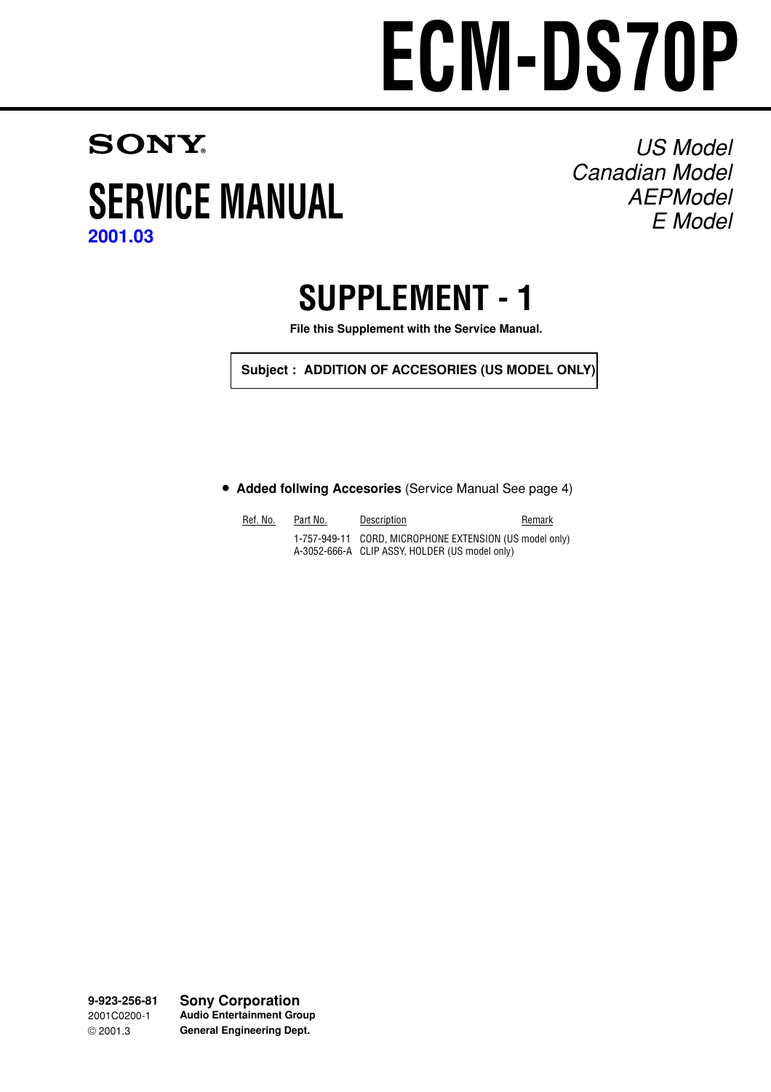# **ECM-DS70P**

### <span id="page-4-0"></span>**SONY SERVICE MANUAL [2001.03](#page-0-0)**

US Model Canadian Model AEPModel E Model

## **SUPPLEMENT - 1**

**File this Supplement with the Service Manual.**

**Subject : ADDITION OF ACCESORIES (US MODEL ONLY)**

**• Added follwing Accesories** (Service Manual See page 4)

| Ref. No. | Part No. | Description                                                                                               | Remark |
|----------|----------|-----------------------------------------------------------------------------------------------------------|--------|
|          |          | 1-757-949-11 CORD, MICROPHONE EXTENSION (US model only)<br>A-3052-666-A CLIP ASSY, HOLDER (US model only) |        |